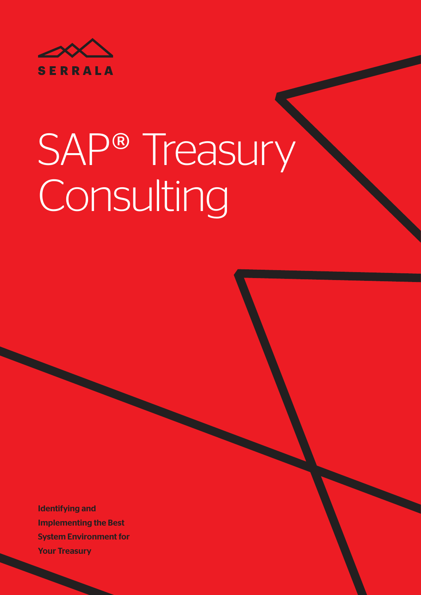

# SAP® Treasury Consulting

Identifying and Implementing the Best System Environment for Your Treasury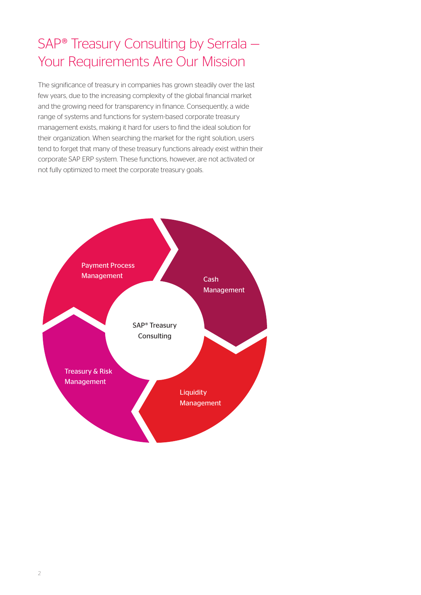## SAP® Treasury Consulting by Serrala — Your Requirements Are Our Mission

The significance of treasury in companies has grown steadily over the last few years, due to the increasing complexity of the global financial market and the growing need for transparency in finance. Consequently, a wide range of systems and functions for system-based corporate treasury management exists, making it hard for users to find the ideal solution for their organization. When searching the market for the right solution, users tend to forget that many of these treasury functions already exist within their corporate SAP ERP system. These functions, however, are not activated or not fully optimized to meet the corporate treasury goals.

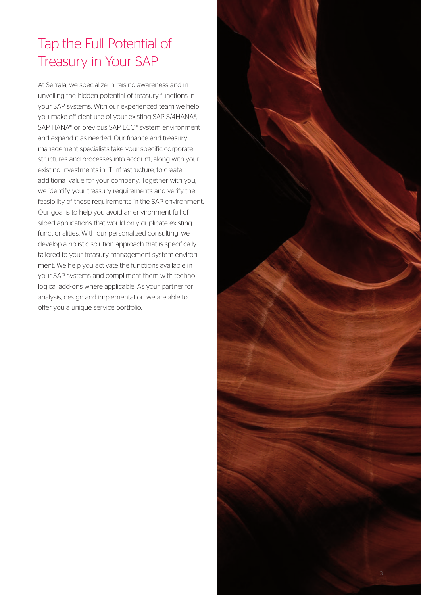# Tap the Full Potential of Treasury in Your SAP

At Serrala, we specialize in raising awareness and in unveiling the hidden potential of treasury functions in your SAP systems. With our experienced team we help you make efficient use of your existing SAP S/4HANA®, SAP HANA® or previous SAP ECC® system environment and expand it as needed. Our finance and treasury management specialists take your specific corporate structures and processes into account, along with your existing investments in IT infrastructure, to create additional value for your company. Together with you, we identify your treasury requirements and verify the feasibility of these requirements in the SAP environment. Our goal is to help you avoid an environment full of siloed applications that would only duplicate existing functionalities. With our personalized consulting, we develop a holistic solution approach that is specifically tailored to your treasury management system environment. We help you activate the functions available in your SAP systems and compliment them with technological add-ons where applicable. As your partner for analysis, design and implementation we are able to offer you a unique service portfolio.

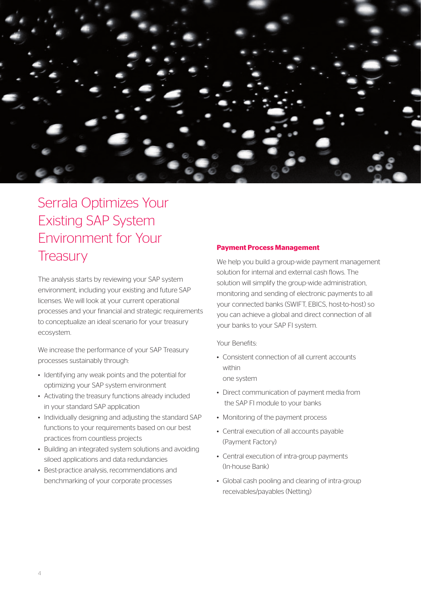

## Serrala Optimizes Your Existing SAP System Environment for Your **Treasury**

The analysis starts by reviewing your SAP system environment, including your existing and future SAP licenses. We will look at your current operational processes and your financial and strategic requirements to conceptualize an ideal scenario for your treasury ecosystem.

We increase the performance of your SAP Treasury processes sustainably through:

- Identifying any weak points and the potential for optimizing your SAP system environment
- Activating the treasury functions already included in your standard SAP application
- Individually designing and adjusting the standard SAP functions to your requirements based on our best practices from countless projects
- Building an integrated system solutions and avoiding siloed applications and data redundancies
- Best-practice analysis, recommendations and benchmarking of your corporate processes

#### **Payment Process Management**

We help you build a group-wide payment management solution for internal and external cash flows. The solution will simplify the group-wide administration, monitoring and sending of electronic payments to all your connected banks (SWIFT, EBICS, host-to-host) so you can achieve a global and direct connection of all your banks to your SAP FI system.

Your Benefits:

- Consistent connection of all current accounts within one system
- Direct communication of payment media from the SAP FI module to your banks
- Monitoring of the payment process
- Central execution of all accounts payable (Payment Factory)
- Central execution of intra-group payments (In-house Bank)
- Global cash pooling and clearing of intra-group receivables/payables (Netting)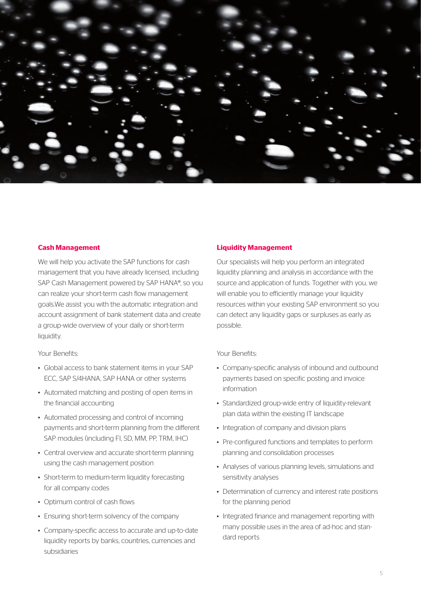

#### **Cash Management**

We will help you activate the SAP functions for cash management that you have already licensed, including SAP Cash Management powered by SAP HANA®, so you can realize your short-term cash flow management goals.We assist you with the automatic integration and account assignment of bank statement data and create a group-wide overview of your daily or short-term liquidity.

Your Benefits:

- Global access to bank statement items in your SAP ECC, SAP S/4HANA, SAP HANA or other systems
- Automated matching and posting of open items in the financial accounting
- Automated processing and control of incoming payments and short-term planning from the different SAP modules (including FI, SD, MM, PP, TRM, IHC)
- Central overview and accurate short-term planning using the cash management position
- Short-term to medium-term liquidity forecasting for all company codes
- Optimum control of cash flows
- Ensuring short-term solvency of the company
- Company-specific access to accurate and up-to-date liquidity reports by banks, countries, currencies and subsidiaries

#### **Liquidity Management**

Our specialists will help you perform an integrated liquidity planning and analysis in accordance with the source and application of funds. Together with you, we will enable you to efficiently manage your liquidity resources within your existing SAP environment so you can detect any liquidity gaps or surpluses as early as possible.

Your Benefits:

- Company-specific analysis of inbound and outbound payments based on specific posting and invoice information
- Standardized group-wide entry of liquidity-relevant plan data within the existing IT landscape
- Integration of company and division plans
- Pre-configured functions and templates to perform planning and consolidation processes
- Analyses of various planning levels, simulations and sensitivity analyses
- Determination of currency and interest rate positions for the planning period
- Integrated finance and management reporting with many possible uses in the area of ad-hoc and standard reports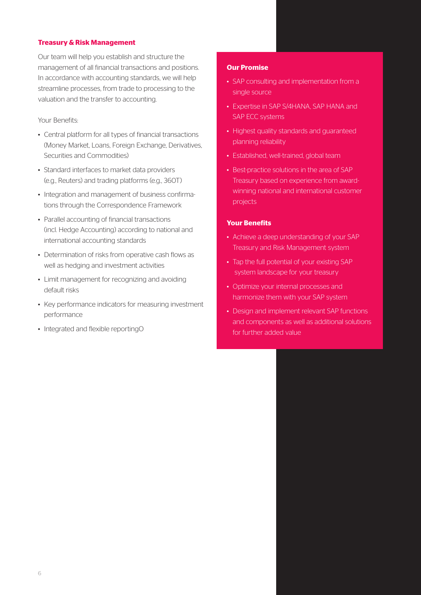#### **Treasury & Risk Management**

Our team will help you establish and structure the management of all financial transactions and positions. In accordance with accounting standards, we will help streamline processes, from trade to processing to the valuation and the transfer to accounting.

#### Your Benefits:

- Central platform for all types of financial transactions (Money Market, Loans, Foreign Exchange, Derivatives, Securities and Commodities)
- Standard interfaces to market data providers (e.g., Reuters) and trading platforms (e.g., 360T)
- Integration and management of business confirmations through the Correspondence Framework
- Parallel accounting of financial transactions (incl. Hedge Accounting) according to national and international accounting standards
- Determination of risks from operative cash flows as well as hedging and investment activities
- Limit management for recognizing and avoiding default risks
- Key performance indicators for measuring investment performance
- Integrated and flexible reportingO

#### **Our Promise**

- SAP consulting and implementation from a single source
- Expertise in SAP S/4HANA, SAP HANA and SAP ECC systems
- Highest quality standards and guaranteed planning reliability
- Established, well-trained, global team
- Best-practice solutions in the area of SAP Treasury based on experience from awardwinning national and international customer projects

#### **Your Benefits**

- Achieve a deep understanding of your SAP Treasury and Risk Management system
- Tap the full potential of your existing SAP system landscape for your treasury
- Optimize your internal processes and harmonize them with your SAP system
- Design and implement relevant SAP functions and components as well as additional solutions for further added value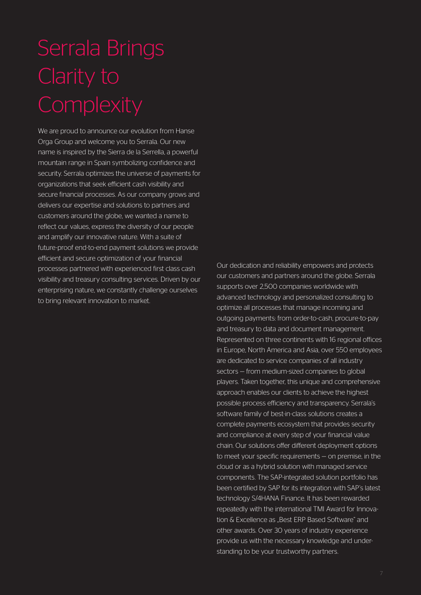# Serrala Brings Clarity to **Complexity**

We are proud to announce our evolution from Hanse Orga Group and welcome you to Serrala. Our new name is inspired by the Sierra de la Serrella, a powerful mountain range in Spain symbolizing confidence and security. Serrala optimizes the universe of payments for organizations that seek efficient cash visibility and secure financial processes. As our company grows and delivers our expertise and solutions to partners and customers around the globe, we wanted a name to reflect our values, express the diversity of our people and amplify our innovative nature. With a suite of future-proof end-to-end payment solutions we provide efficient and secure optimization of your financial processes partnered with experienced first class cash visibility and treasury consulting services. Driven by our enterprising nature, we constantly challenge ourselves to bring relevant innovation to market.

Our dedication and reliability empowers and protects our customers and partners around the globe. Serrala supports over 2,500 companies worldwide with advanced technology and personalized consulting to optimize all processes that manage incoming and outgoing payments: from order-to-cash, procure-to-pay and treasury to data and document management. Represented on three continents with 16 regional offices in Europe, North America and Asia, over 550 employees are dedicated to service companies of all industry sectors — from medium-sized companies to global players. Taken together, this unique and comprehensive approach enables our clients to achieve the highest possible process efficiency and transparency. Serrala's software family of best-in-class solutions creates a complete payments ecosystem that provides security and compliance at every step of your financial value chain. Our solutions offer different deployment options to meet your specific requirements — on premise, in the cloud or as a hybrid solution with managed service components. The SAP-integrated solution portfolio has been certified by SAP for its integration with SAP's latest technology S/4HANA Finance. It has been rewarded repeatedly with the international TMI Award for Innovation & Excellence as "Best ERP Based Software" and other awards. Over 30 years of industry experience provide us with the necessary knowledge and understanding to be your trustworthy partners.